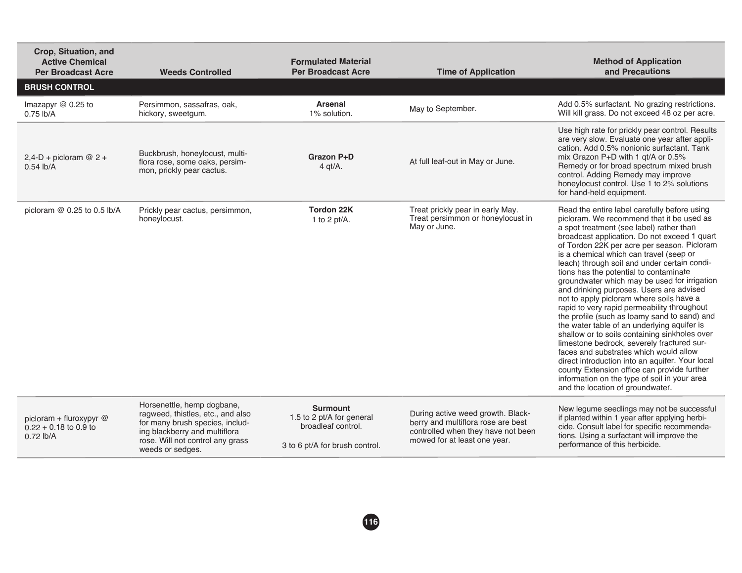| Crop, Situation, and<br><b>Active Chemical</b><br><b>Per Broadcast Acre</b> | <b>Weeds Controlled</b>                                                                                                                                                                     | <b>Formulated Material</b><br><b>Per Broadcast Acre</b>                                              | <b>Time of Application</b>                                                                                                                    | <b>Method of Application</b><br>and Precautions                                                                                                                                                                                                                                                                                                                                                                                                                                                                                                                                                                                                                                                                                                                                                                                                                                                                                                                                                |
|-----------------------------------------------------------------------------|---------------------------------------------------------------------------------------------------------------------------------------------------------------------------------------------|------------------------------------------------------------------------------------------------------|-----------------------------------------------------------------------------------------------------------------------------------------------|------------------------------------------------------------------------------------------------------------------------------------------------------------------------------------------------------------------------------------------------------------------------------------------------------------------------------------------------------------------------------------------------------------------------------------------------------------------------------------------------------------------------------------------------------------------------------------------------------------------------------------------------------------------------------------------------------------------------------------------------------------------------------------------------------------------------------------------------------------------------------------------------------------------------------------------------------------------------------------------------|
| <b>BRUSH CONTROL</b>                                                        |                                                                                                                                                                                             |                                                                                                      |                                                                                                                                               |                                                                                                                                                                                                                                                                                                                                                                                                                                                                                                                                                                                                                                                                                                                                                                                                                                                                                                                                                                                                |
| Imazapyr $@$ 0.25 to<br>$0.75$ lb/A                                         | Persimmon, sassafras, oak,<br>hickory, sweetqum.                                                                                                                                            | Arsenal<br>1% solution.                                                                              | May to September.                                                                                                                             | Add 0.5% surfactant. No grazing restrictions.<br>Will kill grass. Do not exceed 48 oz per acre.                                                                                                                                                                                                                                                                                                                                                                                                                                                                                                                                                                                                                                                                                                                                                                                                                                                                                                |
| $2,4-D + picloram @ 2 +$<br>$0.54$ lb/A                                     | Buckbrush, honeylocust, multi-<br>flora rose, some oaks, persim-<br>mon, prickly pear cactus.                                                                                               | Grazon P+D<br>$4$ qt/A.                                                                              | At full leaf-out in May or June.                                                                                                              | Use high rate for prickly pear control. Results<br>are very slow. Evaluate one year after appli-<br>cation. Add 0.5% nonionic surfactant. Tank<br>mix Grazon P+D with 1 gt/A or 0.5%<br>Remedy or for broad spectrum mixed brush<br>control. Adding Remedy may improve<br>honeylocust control. Use 1 to 2% solutions<br>for hand-held equipment.                                                                                                                                                                                                                                                                                                                                                                                                                                                                                                                                                                                                                                               |
| picloram @ 0.25 to 0.5 lb/A                                                 | Prickly pear cactus, persimmon,<br>honeylocust.                                                                                                                                             | <b>Tordon 22K</b><br>1 to 2 pt/A.                                                                    | Treat prickly pear in early May.<br>Treat persimmon or honeylocust in<br>May or June.                                                         | Read the entire label carefully before using<br>picloram. We recommend that it be used as<br>a spot treatment (see label) rather than<br>broadcast application. Do not exceed 1 quart<br>of Tordon 22K per acre per season. Picloram<br>is a chemical which can travel (seep or<br>leach) through soil and under certain condi-<br>tions has the potential to contaminate<br>groundwater which may be used for irrigation<br>and drinking purposes. Users are advised<br>not to apply picloram where soils have a<br>rapid to very rapid permeability throughout<br>the profile (such as loamy sand to sand) and<br>the water table of an underlying aquifer is<br>shallow or to soils containing sinkholes over<br>limestone bedrock, severely fractured sur-<br>faces and substrates which would allow<br>direct introduction into an aquifer. Your local<br>county Extension office can provide further<br>information on the type of soil in your area<br>and the location of groundwater. |
| picloram + fluroxypyr @<br>$0.22 + 0.18$ to 0.9 to<br>$0.72$ lb/A           | Horsenettle, hemp dogbane,<br>ragweed, thistles, etc., and also<br>for many brush species, includ-<br>ing blackberry and multiflora<br>rose. Will not control any grass<br>weeds or sedges. | <b>Surmount</b><br>1.5 to 2 pt/A for general<br>broadleaf control.<br>3 to 6 pt/A for brush control. | During active weed growth. Black-<br>berry and multiflora rose are best<br>controlled when they have not been<br>mowed for at least one year. | New legume seedlings may not be successful<br>if planted within 1 year after applying herbi-<br>cide. Consult label for specific recommenda-<br>tions. Using a surfactant will improve the<br>performance of this herbicide.                                                                                                                                                                                                                                                                                                                                                                                                                                                                                                                                                                                                                                                                                                                                                                   |

**116**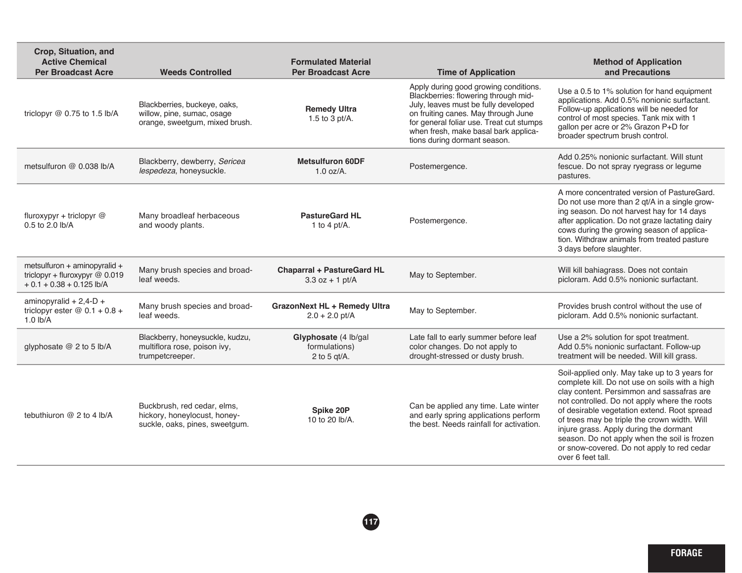| Crop, Situation, and<br><b>Active Chemical</b><br><b>Per Broadcast Acre</b>                  | <b>Weeds Controlled</b>                                                                       | <b>Formulated Material</b><br><b>Per Broadcast Acre</b>  | <b>Time of Application</b>                                                                                                                                                                                                                                                       | <b>Method of Application</b><br>and Precautions                                                                                                                                                                                                                                                                                                                                                                                                          |
|----------------------------------------------------------------------------------------------|-----------------------------------------------------------------------------------------------|----------------------------------------------------------|----------------------------------------------------------------------------------------------------------------------------------------------------------------------------------------------------------------------------------------------------------------------------------|----------------------------------------------------------------------------------------------------------------------------------------------------------------------------------------------------------------------------------------------------------------------------------------------------------------------------------------------------------------------------------------------------------------------------------------------------------|
| triclopyr @ 0.75 to 1.5 lb/A                                                                 | Blackberries, buckeye, oaks,<br>willow, pine, sumac, osage<br>orange, sweetgum, mixed brush.  | <b>Remedy Ultra</b><br>1.5 to 3 pt/A.                    | Apply during good growing conditions.<br>Blackberries: flowering through mid-<br>July, leaves must be fully developed<br>on fruiting canes. May through June<br>for general foliar use. Treat cut stumps<br>when fresh, make basal bark applica-<br>tions during dormant season. | Use a 0.5 to 1% solution for hand equipment<br>applications. Add 0.5% nonionic surfactant.<br>Follow-up applications will be needed for<br>control of most species. Tank mix with 1<br>gallon per acre or 2% Grazon P+D for<br>broader spectrum brush control.                                                                                                                                                                                           |
| metsulfuron @ 0.038 lb/A                                                                     | Blackberry, dewberry, Sericea<br>lespedeza, honeysuckle.                                      | <b>Metsulfuron 60DF</b><br>$1.0$ oz/A.                   | Postemergence.                                                                                                                                                                                                                                                                   | Add 0.25% nonionic surfactant. Will stunt<br>fescue. Do not spray ryegrass or legume<br>pastures.                                                                                                                                                                                                                                                                                                                                                        |
| fluroxypyr + triclopyr $@$<br>0.5 to 2.0 lb/A                                                | Many broadleaf herbaceous<br>and woody plants.                                                | <b>PastureGard HL</b><br>1 to 4 pt/A.                    | Postemergence.                                                                                                                                                                                                                                                                   | A more concentrated version of PastureGard.<br>Do not use more than 2 qt/A in a single grow-<br>ing season. Do not harvest hay for 14 days<br>after application. Do not graze lactating dairy<br>cows during the growing season of applica-<br>tion. Withdraw animals from treated pasture<br>3 days before slaughter.                                                                                                                                   |
| metsulfuron + aminopyralid +<br>triclopyr + fluroxypyr @ 0.019<br>$+0.1 + 0.38 + 0.125$ lb/A | Many brush species and broad-<br>leaf weeds.                                                  | <b>Chaparral + PastureGard HL</b><br>$3.3$ oz + 1 pt/A   | May to September.                                                                                                                                                                                                                                                                | Will kill bahiagrass. Does not contain<br>picloram. Add 0.5% nonionic surfactant.                                                                                                                                                                                                                                                                                                                                                                        |
| aminopyralid + $2,4$ -D +<br>triclopyr ester $@0.1 + 0.8 +$<br>$1.0$ lb/A                    | Many brush species and broad-<br>leaf weeds.                                                  | <b>GrazonNext HL + Remedy Ultra</b><br>$2.0 + 2.0$ pt/A  | May to September.                                                                                                                                                                                                                                                                | Provides brush control without the use of<br>picloram. Add 0.5% nonionic surfactant.                                                                                                                                                                                                                                                                                                                                                                     |
| glyphosate @ 2 to 5 lb/A                                                                     | Blackberry, honeysuckle, kudzu,<br>multiflora rose, poison ivy,<br>trumpetcreeper.            | Glyphosate (4 lb/gal<br>formulations)<br>2 to 5 $qt/A$ . | Late fall to early summer before leaf<br>color changes. Do not apply to<br>drought-stressed or dusty brush.                                                                                                                                                                      | Use a 2% solution for spot treatment.<br>Add 0.5% nonionic surfactant. Follow-up<br>treatment will be needed. Will kill grass.                                                                                                                                                                                                                                                                                                                           |
| tebuthiuron @ 2 to 4 lb/A                                                                    | Buckbrush, red cedar, elms,<br>hickory, honeylocust, honey-<br>suckle, oaks, pines, sweetgum. | Spike 20P<br>10 to 20 lb/A.                              | Can be applied any time. Late winter<br>and early spring applications perform<br>the best. Needs rainfall for activation.                                                                                                                                                        | Soil-applied only. May take up to 3 years for<br>complete kill. Do not use on soils with a high<br>clay content. Persimmon and sassafras are<br>not controlled. Do not apply where the roots<br>of desirable vegetation extend. Root spread<br>of trees may be triple the crown width. Will<br>injure grass. Apply during the dormant<br>season. Do not apply when the soil is frozen<br>or snow-covered. Do not apply to red cedar<br>over 6 feet tall. |

**117**